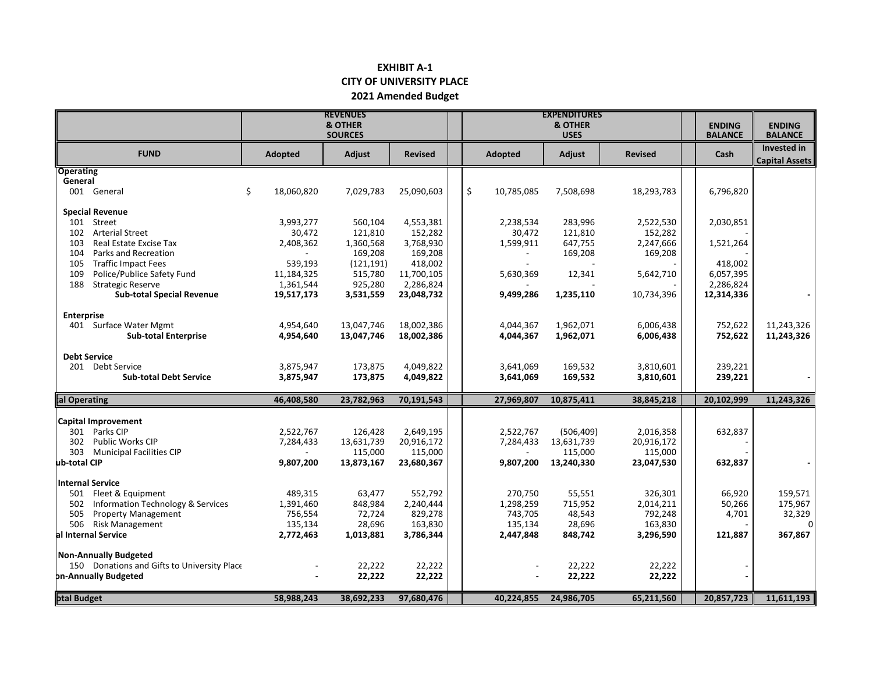## **EXHIBIT A-1 CITY OF UNIVERSITY PLACE 2021 Amended Budget**

|                                                                      | <b>REVENUES</b><br><b>&amp; OTHER</b><br><b>SOURCES</b> |                    |                         |  | <b>EXPENDITURES</b><br><b>&amp; OTHER</b><br><b>USES</b> |                |            |                | <b>ENDING</b><br><b>BALANCE</b> | <b>ENDING</b><br><b>BALANCE</b>      |
|----------------------------------------------------------------------|---------------------------------------------------------|--------------------|-------------------------|--|----------------------------------------------------------|----------------|------------|----------------|---------------------------------|--------------------------------------|
| <b>FUND</b>                                                          | Adopted                                                 | Adjust             | <b>Revised</b>          |  |                                                          | <b>Adopted</b> | Adjust     | <b>Revised</b> | Cash                            | Invested in<br><b>Capital Assets</b> |
| <b>Operating</b><br>General                                          |                                                         |                    |                         |  |                                                          |                |            |                |                                 |                                      |
| 001 General                                                          | \$<br>18,060,820                                        | 7,029,783          | 25,090,603              |  | \$                                                       | 10,785,085     | 7,508,698  | 18,293,783     | 6,796,820                       |                                      |
| <b>Special Revenue</b>                                               |                                                         |                    |                         |  |                                                          |                |            |                |                                 |                                      |
| 101<br>Street                                                        | 3,993,277                                               | 560,104            | 4,553,381               |  |                                                          | 2,238,534      | 283,996    | 2,522,530      | 2,030,851                       |                                      |
| <b>Arterial Street</b><br>102                                        | 30,472                                                  | 121,810            | 152,282                 |  |                                                          | 30,472         | 121,810    | 152,282        |                                 |                                      |
| 103<br>Real Estate Excise Tax                                        | 2,408,362                                               | 1,360,568          | 3,768,930               |  |                                                          | 1,599,911      | 647,755    | 2,247,666      | 1,521,264                       |                                      |
| Parks and Recreation<br>104                                          |                                                         | 169,208            | 169,208                 |  |                                                          |                | 169,208    | 169,208        |                                 |                                      |
| <b>Traffic Impact Fees</b><br>105                                    | 539,193                                                 | (121, 191)         | 418,002                 |  |                                                          |                |            |                | 418,002                         |                                      |
| Police/Publice Safety Fund<br>109<br>188<br><b>Strategic Reserve</b> | 11,184,325                                              | 515,780<br>925,280 | 11,700,105<br>2,286,824 |  |                                                          | 5,630,369      | 12,341     | 5,642,710      | 6,057,395<br>2,286,824          |                                      |
| <b>Sub-total Special Revenue</b>                                     | 1,361,544<br>19,517,173                                 | 3,531,559          | 23,048,732              |  |                                                          | 9,499,286      | 1,235,110  | 10,734,396     | 12,314,336                      |                                      |
| <b>Enterprise</b>                                                    |                                                         |                    |                         |  |                                                          |                |            |                |                                 |                                      |
| 401 Surface Water Mgmt                                               | 4,954,640                                               | 13,047,746         | 18,002,386              |  |                                                          | 4,044,367      | 1,962,071  | 6,006,438      | 752,622                         | 11,243,326                           |
| <b>Sub-total Enterprise</b>                                          | 4,954,640                                               | 13,047,746         | 18,002,386              |  |                                                          | 4,044,367      | 1,962,071  | 6,006,438      | 752,622                         | 11,243,326                           |
| <b>Debt Service</b>                                                  |                                                         |                    |                         |  |                                                          |                |            |                |                                 |                                      |
| 201 Debt Service                                                     | 3,875,947                                               | 173,875            | 4,049,822               |  |                                                          | 3,641,069      | 169,532    | 3,810,601      | 239,221                         |                                      |
| <b>Sub-total Debt Service</b>                                        | 3,875,947                                               | 173,875            | 4,049,822               |  |                                                          | 3,641,069      | 169,532    | 3,810,601      | 239,221                         |                                      |
| al Operating                                                         | 46,408,580                                              | 23,782,963         | 70,191,543              |  |                                                          | 27,969,807     | 10,875,411 | 38,845,218     | 20,102,999                      | 11,243,326                           |
| Capital Improvement                                                  |                                                         |                    |                         |  |                                                          |                |            |                |                                 |                                      |
| 301 Parks CIP                                                        | 2,522,767                                               | 126,428            | 2,649,195               |  |                                                          | 2,522,767      | (506, 409) | 2,016,358      | 632,837                         |                                      |
| 302 Public Works CIP                                                 | 7,284,433                                               | 13,631,739         | 20,916,172              |  |                                                          | 7,284,433      | 13,631,739 | 20,916,172     |                                 |                                      |
| 303 Municipal Facilities CIP                                         |                                                         | 115,000            | 115,000                 |  |                                                          |                | 115,000    | 115,000        |                                 |                                      |
| ub-total CIP                                                         | 9,807,200                                               | 13,873,167         | 23,680,367              |  |                                                          | 9,807,200      | 13,240,330 | 23,047,530     | 632,837                         |                                      |
| <b>Internal Service</b>                                              |                                                         |                    |                         |  |                                                          |                |            |                |                                 |                                      |
| 501<br>Fleet & Equipment                                             | 489,315                                                 | 63,477             | 552,792                 |  |                                                          | 270,750        | 55,551     | 326,301        | 66,920                          | 159,571                              |
| Information Technology & Services<br>502                             | 1,391,460                                               | 848,984            | 2,240,444               |  |                                                          | 1,298,259      | 715,952    | 2,014,211      | 50,266                          | 175,967                              |
| 505<br><b>Property Management</b>                                    | 756,554                                                 | 72,724             | 829,278                 |  |                                                          | 743,705        | 48,543     | 792,248        | 4,701                           | 32,329                               |
| 506 Risk Management                                                  | 135,134                                                 | 28,696             | 163,830                 |  |                                                          | 135,134        | 28,696     | 163,830        |                                 | 0                                    |
| al Internal Service                                                  | 2,772,463                                               | 1,013,881          | 3,786,344               |  |                                                          | 2,447,848      | 848,742    | 3,296,590      | 121,887                         | 367,867                              |
| <b>Non-Annually Budgeted</b>                                         |                                                         |                    |                         |  |                                                          |                |            |                |                                 |                                      |
| 150 Donations and Gifts to University Place                          |                                                         | 22,222             | 22,222                  |  |                                                          |                | 22,222     | 22,222         |                                 |                                      |
| on-Annually Budgeted                                                 |                                                         | 22,222             | 22,222                  |  |                                                          |                | 22,222     | 22,222         |                                 |                                      |
| otal Budget                                                          | 58,988,243                                              | 38,692,233         | 97,680,476              |  |                                                          | 40,224,855     | 24,986,705 | 65,211,560     | 20,857,723                      | 11,611,193                           |